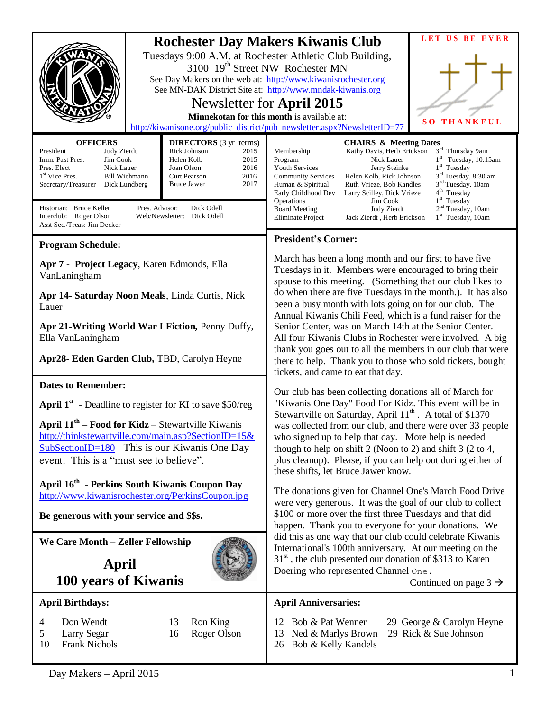| <b>Rochester Day Makers Kiwanis Club</b><br>Tuesdays 9:00 A.M. at Rochester Athletic Club Building,<br>3100 19 <sup>th</sup> Street NW Rochester MN<br>See Day Makers on the web at: http://www.kiwanisrochester.org<br>See MN-DAK District Site at: http://www.mndak-kiwanis.org<br>Newsletter for April 2015<br>Minnekotan for this month is available at:<br>http://kiwanisone.org/public_district/pub_newsletter.aspx?NewsletterID=77<br><b>OFFICERS</b><br><b>DIRECTORS</b> (3 yr terms)<br>Rick Johnson<br>President<br>2015<br>Membership<br>Judy Zierdt<br>Imm. Past Pres.<br>Jim Cook<br>Helen Kolb<br>2015<br>Program<br>Nick Lauer<br>Pres. Elect<br>Nick Lauer<br>Joan Olson<br>2016<br>Youth Services |  | LET US BE EVER<br>$S$ <sup>O</sup><br><b>THANKFUL</b><br><b>CHAIRS &amp; Meeting Dates</b><br>3rd Thursday 9am<br>Kathy Davis, Herb Erickson<br>$1st$ Tuesday, 10:15am<br>$1st$ Tuesday<br>Jerry Steinke                                                                                                                                                                                                                                                                                                                                                                                                                                                                                                                                                                                        |  |
|--------------------------------------------------------------------------------------------------------------------------------------------------------------------------------------------------------------------------------------------------------------------------------------------------------------------------------------------------------------------------------------------------------------------------------------------------------------------------------------------------------------------------------------------------------------------------------------------------------------------------------------------------------------------------------------------------------------------|--|-------------------------------------------------------------------------------------------------------------------------------------------------------------------------------------------------------------------------------------------------------------------------------------------------------------------------------------------------------------------------------------------------------------------------------------------------------------------------------------------------------------------------------------------------------------------------------------------------------------------------------------------------------------------------------------------------------------------------------------------------------------------------------------------------|--|
| 2016<br>1 <sup>st</sup> Vice Pres.<br><b>Bill Wichmann</b><br>Curt Pearson<br>2017<br>Secretary/Treasurer<br>Dick Lundberg<br>Bruce Jawer<br>Historian: Bruce Keller<br>Pres. Advisor:<br>Dick Odell<br>Interclub: Roger Olson<br>Web/Newsletter: Dick Odell<br>Asst Sec./Treas: Jim Decker                                                                                                                                                                                                                                                                                                                                                                                                                        |  | 3rd Tuesday, 8:30 am<br><b>Community Services</b><br>Helen Kolb, Rick Johnson<br>3 <sup>nd</sup> Tuesday, 10am<br>Human & Spiritual<br>Ruth Vrieze, Bob Kandles<br>4 <sup>th</sup> Tuesday<br>Early Childhood Dev<br>Larry Scilley, Dick Vrieze<br>$1st$ Tuesday<br>Operations<br>Jim Cook<br>2 <sup>nd</sup> Tuesday, 10am<br>Judy Zierdt<br><b>Board Meeting</b><br>Eliminate Project<br>$1st$ Tuesday, 10am<br>Jack Zierdt, Herb Erickson                                                                                                                                                                                                                                                                                                                                                    |  |
| <b>Program Schedule:</b><br>Apr 7 - Project Legacy, Karen Edmonds, Ella<br>VanLaningham<br>Apr 14- Saturday Noon Meals, Linda Curtis, Nick<br>Lauer<br>Apr 21-Writing World War I Fiction, Penny Duffy,<br>Ella VanLaningham<br>Apr28- Eden Garden Club, TBD, Carolyn Heyne                                                                                                                                                                                                                                                                                                                                                                                                                                        |  | <b>President's Corner:</b><br>March has been a long month and our first to have five<br>Tuesdays in it. Members were encouraged to bring their<br>spouse to this meeting. (Something that our club likes to<br>do when there are five Tuesdays in the month.). It has also<br>been a busy month with lots going on for our club. The<br>Annual Kiwanis Chili Feed, which is a fund raiser for the<br>Senior Center, was on March 14th at the Senior Center.<br>All four Kiwanis Clubs in Rochester were involved. A big<br>thank you goes out to all the members in our club that were<br>there to help. Thank you to those who sold tickets, bought<br>tickets, and came to eat that day.                                                                                                      |  |
| <b>Dates to Remember:</b><br><b>April 1<sup>st</sup></b> - Deadline to register for KI to save \$50/reg<br>April $11^{th}$ – Food for Kidz – Stewartville Kiwanis<br>http://thinkstewartville.com/main.asp?SectionID=15&<br>$SubSection ID=180$ This is our Kiwanis One Day<br>event. This is a "must see to believe".<br>April 16 <sup>th</sup> - Perkins South Kiwanis Coupon Day<br>http://www.kiwanisrochester.org/PerkinsCoupon.jpg<br>Be generous with your service and \$\$s.<br>We Care Month - Zeller Fellowship                                                                                                                                                                                          |  | Our club has been collecting donations all of March for<br>"Kiwanis One Day" Food For Kidz. This event will be in<br>Stewartville on Saturday, April 11 <sup>th</sup> . A total of \$1370<br>was collected from our club, and there were over 33 people<br>who signed up to help that day. More help is needed<br>though to help on shift $2$ (Noon to 2) and shift $3$ (2 to 4,<br>plus cleanup). Please, if you can help out during either of<br>these shifts, let Bruce Jawer know.<br>The donations given for Channel One's March Food Drive<br>were very generous. It was the goal of our club to collect<br>\$100 or more over the first three Tuesdays and that did<br>happen. Thank you to everyone for your donations. We<br>did this as one way that our club could celebrate Kiwanis |  |
| April<br>100 years of Kiwanis                                                                                                                                                                                                                                                                                                                                                                                                                                                                                                                                                                                                                                                                                      |  | International's 100th anniversary. At our meeting on the<br>31 <sup>st</sup> , the club presented our donation of \$313 to Karen<br>Doering who represented Channel One.<br>Continued on page $3 \rightarrow$                                                                                                                                                                                                                                                                                                                                                                                                                                                                                                                                                                                   |  |
| <b>April Birthdays:</b><br>Don Wendt<br>Ron King<br>13<br>4<br>Roger Olson<br>16<br>5<br>Larry Segar<br>10<br><b>Frank Nichols</b>                                                                                                                                                                                                                                                                                                                                                                                                                                                                                                                                                                                 |  | <b>April Anniversaries:</b><br>12 Bob & Pat Wenner<br>29 George & Carolyn Heyne<br>29 Rick & Sue Johnson<br>Ned & Marlys Brown<br>13<br>Bob & Kelly Kandels<br>26                                                                                                                                                                                                                                                                                                                                                                                                                                                                                                                                                                                                                               |  |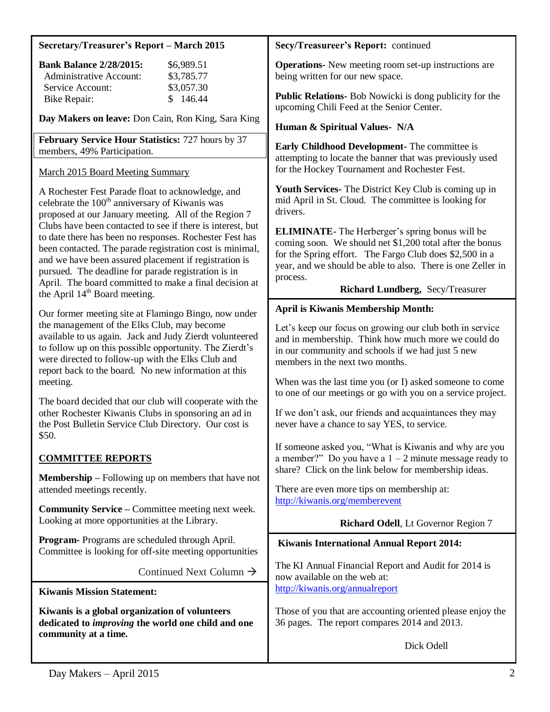# **Secretary/Treasurer's Report – March 2015**

| <b>Bank Balance 2/28/2015:</b> | \$6,989.51 |
|--------------------------------|------------|
| Administrative Account:        | \$3,785.77 |
| Service Account:               | \$3,057.30 |
| Bike Repair:                   | \$146.44   |

**Day Makers on leave:** Don Cain, Ron King, Sara King

**February Service Hour Statistics:** 727 hours by 37 members, 49% Participation.

## March 2015 Board Meeting Summary

A Rochester Fest Parade float to acknowledge, and celebrate the  $100<sup>th</sup>$  anniversary of Kiwanis was proposed at our January meeting. All of the Region 7 Clubs have been contacted to see if there is interest, but to date there has been no responses. Rochester Fest has been contacted. The parade registration cost is minimal, and we have been assured placement if registration is pursued. The deadline for parade registration is in April. The board committed to make a final decision at the April  $14<sup>th</sup>$  Board meeting.

Our former meeting site at Flamingo Bingo, now under the management of the Elks Club, may become available to us again. Jack and Judy Zierdt volunteered to follow up on this possible opportunity. The Zierdt's were directed to follow-up with the Elks Club and report back to the board. No new information at this meeting.

The board decided that our club will cooperate with the other Rochester Kiwanis Clubs in sponsoring an ad in the Post Bulletin Service Club Directory. Our cost is \$50.

# **COMMITTEE REPORTS**

**Membership –** Following up on members that have not attended meetings recently.

**Community Service –** Committee meeting next week. Looking at more opportunities at the Library.

**Program-** Programs are scheduled through April. Committee is looking for off-site meeting opportunities

Continued Next Column  $\rightarrow$ 

**Kiwanis Mission Statement:**

**Kiwanis is a global organization of volunteers dedicated to** *improving* **the world one child and one community at a time.**

#### **Secy/Treasureer's Report:** continued

**Operations-** New meeting room set-up instructions are being written for our new space.

**Public Relations-** Bob Nowicki is dong publicity for the upcoming Chili Feed at the Senior Center.

#### **Human & Spiritual Values- N/A**

**Early Childhood Development-** The committee is attempting to locate the banner that was previously used for the Hockey Tournament and Rochester Fest.

**Youth Services-** The District Key Club is coming up in mid April in St. Cloud. The committee is looking for drivers.

**ELIMINATE**- The Herberger's spring bonus will be coming soon. We should net \$1,200 total after the bonus for the Spring effort. The Fargo Club does \$2,500 in a year, and we should be able to also. There is one Zeller in process.

# **Richard Lundberg,** Secy/Treasurer

#### **April is Kiwanis Membership Month:**

Let's keep our focus on growing our club both in service and in membership. Think how much more we could do in our community and schools if we had just 5 new members in the next two months.

When was the last time you (or I) asked someone to come to one of our meetings or go with you on a service project.

If we don't ask, our friends and acquaintances they may never have a chance to say YES, to service.

If someone asked you, "What is Kiwanis and why are you a member?" Do you have a  $1 - 2$  minute message ready to share? Click on the link below for membership ideas.

There are even more tips on membership at: <http://kiwanis.org/memberevent>

#### **Richard Odell**, Lt Governor Region 7

#### **Kiwanis International Annual Report 2014:**

The KI Annual Financial Report and Audit for 2014 is now available on the web at: <http://kiwanis.org/annualreport>

Those of you that are accounting oriented please enjoy the 36 pages. The report compares 2014 and 2013.

Dick Odell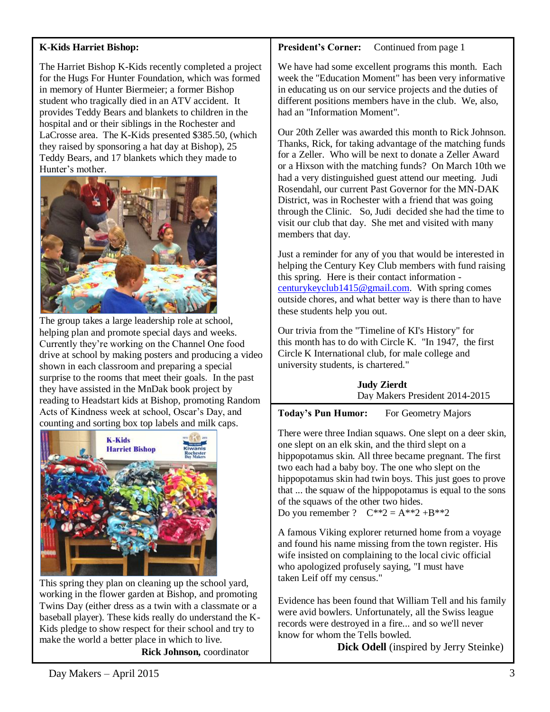# **K-Kids Harriet Bishop:**

The Harriet Bishop K-Kids recently completed a project for the Hugs For Hunter Foundation, which was formed in memory of Hunter Biermeier; a former Bishop student who tragically died in an ATV accident. It provides Teddy Bears and blankets to children in the hospital and or their siblings in the Rochester and LaCrosse area. The K-Kids presented \$385.50, (which they raised by sponsoring a hat day at Bishop), 25 Teddy Bears, and 17 blankets which they made to Hunter's mother.



The group takes a large leadership role at school, helping plan and promote special days and weeks. Currently they're working on the Channel One food drive at school by making posters and producing a video shown in each classroom and preparing a special surprise to the rooms that meet their goals. In the past they have assisted in the MnDak book project by reading to Headstart kids at Bishop, promoting Random Acts of Kindness week at school, Oscar's Day, and counting and sorting box top labels and milk caps.



This spring they plan on cleaning up the school yard, working in the flower garden at Bishop, and promoting Twins Day (either dress as a twin with a classmate or a baseball player). These kids really do understand the K-Kids pledge to show respect for their school and try to make the world a better place in which to live.

 **Rick Johnson,** coordinator

**President's Corner:** Continued from page 1

We have had some excellent programs this month. Each week the "Education Moment" has been very informative in educating us on our service projects and the duties of different positions members have in the club. We, also, had an "Information Moment".

Our 20th Zeller was awarded this month to Rick Johnson. Thanks, Rick, for taking advantage of the matching funds for a Zeller. Who will be next to donate a Zeller Award or a Hixson with the matching funds? On March 10th we had a very distinguished guest attend our meeting. Judi Rosendahl, our current Past Governor for the MN-DAK District, was in Rochester with a friend that was going through the Clinic. So, Judi decided she had the time to visit our club that day. She met and visited with many members that day.

Just a reminder for any of you that would be interested in helping the Century Key Club members with fund raising this spring. Here is their contact information [centurykeyclub1415@gmail.com.](mailto:centurykeyclub1415@gmail.com) With spring comes outside chores, and what better way is there than to have these students help you out.

Our trivia from the "Timeline of KI's History" for this month has to do with Circle K. "In 1947, the first Circle K International club, for male college and university students, is chartered."

> **Judy Zierdt** Day Makers President 2014-2015

**Today's Pun Humor:** For Geometry Majors

There were three Indian squaws. One slept on a deer skin, one slept on an elk skin, and the third slept on a hippopotamus skin. All three became pregnant. The first two each had a baby boy. The one who slept on the hippopotamus skin had twin boys. This just goes to prove that ... the squaw of the hippopotamus is equal to the sons of the squaws of the other two hides.

Do you remember ?  $C^{**}2 = A^{**}2 + B^{**}2$ 

A famous Viking explorer returned home from a voyage and found his name missing from the town register. His wife insisted on complaining to the local civic official who apologized profusely saying, "I must have taken Leif off my census."

Evidence has been found that William Tell and his family were avid bowlers. Unfortunately, all the Swiss league records were destroyed in a fire... and so we'll never know for whom the Tells bowled.

 **Dick Odell** (inspired by Jerry Steinke)